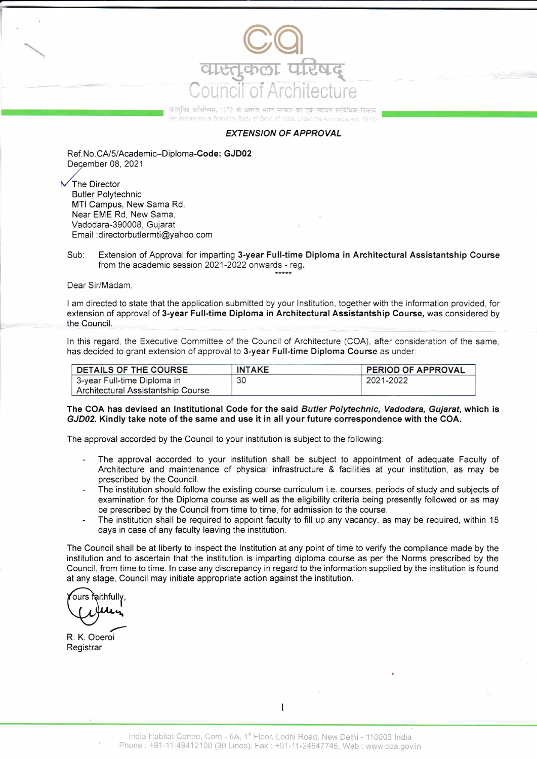

वास्तवित अधिनियम, 1972 के अंतर्गत भारत सरकार का एक स्वायन सांतिधिक निकार nomous Statutory Body of Govt, of India, under the Architects Act, 1972

## EXTENSION OF APPROVAL

Ref.No.CA/5/Academic-Diploma-Code: GJD02 December 08.2021 ,/

The Director Butler Polytechnic MTI Campus, New Sama Rd. Near EME Rd. New Sama, Vadodara-390008, Gujarat Email :drrectorbutlermti@yahoo.com

Sub: Extension of Approval for imparting 3-year Full-time Diploma in Architectural Assistantship Course from the academic session 2021-2022 onwards - reg.

Dear Sir/Madam

I am directed to state that the application submitted by your Institution, together with the information provided, for extension of approval of 3-year Full-time Diploma in Architectural Assistantship Course, was considered by the Council.

ln this regard. the Executive Committee of the Council of Architecture (COA) after consideration of the same, has decided to grant extension of approval to 3-year Full-time Diploma Course as under.

| DETAILS OF THE COURSE              | <b>INTAKE</b> | PERIOD OF APPROVAL |
|------------------------------------|---------------|--------------------|
| 3-year Full-time Diploma in        | 30            | 2021-2022          |
| Architectural Assistantship Course |               |                    |

## The COA has devised an Institutional Code for the said Butler Polytechnic, Vadodara, Gujarat, which is GJD02. Kindly take note of the same and use it in all your future corespondence with the GOA.

The approval accorded by the Council to your institution is subject to the following:

- The approval accorded to your institution shall be subject to appointment of adequate Faculty of Architecture and maintenance of physical infrastructure & facilities at your institution, as may be prescribed by the Council.
- The institution should follow the existing course curriculum i.e. courses, periods of study and subjects of examination for the Diploma course as well as the eligibility criteria being presently followed or as may be prescribed by the Council from time to time, for admission to the course.
- The institution shall be required to appoint faculty to fill up any vacancy, as may be required, within 15 days in case of any faculty leaving the institution.

The Council shall be at liberty to inspect the lnstitution at any point of time to verify the compliance made by the institution and to ascertain that the institution is imparting diploma course as per the Norms prescribed by the Council, from time to time. ln case any discrepancy in regard to the information supplied by the institution is found at any stage, Council may initiate appropriate action against the institution.

R. K. Oberoi **Registrar** 

1